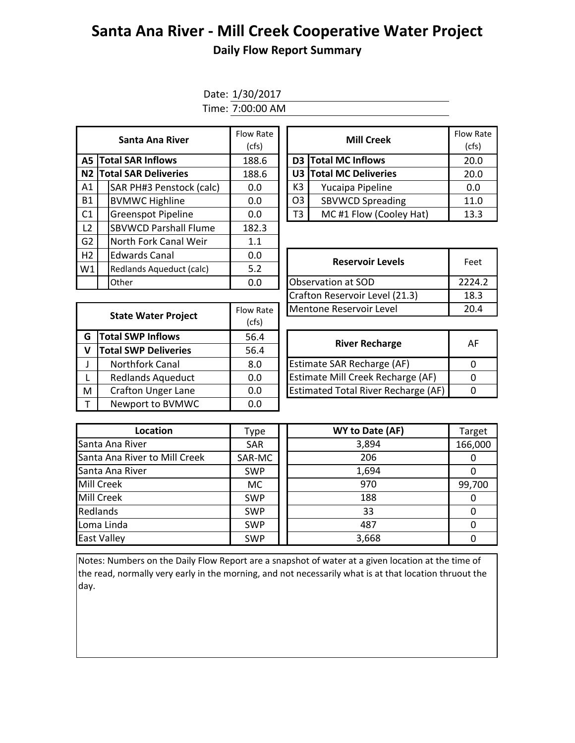## **Santa Ana River - Mill Creek Cooperative Water Project Daily Flow Report Summary**

Date: 1/30/2017 Time: 7:00:00 AM

| Santa Ana River             |  | Flow Rate<br>(cfs)           |       |  | <b>Mill Creek</b>   | Flow Ra<br>(cfs)        |       |  |
|-----------------------------|--|------------------------------|-------|--|---------------------|-------------------------|-------|--|
| <b>A5 Total SAR Inflows</b> |  | 188.6                        |       |  | D3 Total MC Inflows | 20.0                    |       |  |
|                             |  | N2 Total SAR Deliveries      | 188.6 |  |                     | U3 Total MC Deliveries  | 20.0  |  |
| A1                          |  | SAR PH#3 Penstock (calc)     | 0.0   |  | K3                  | Yucaipa Pipeline        | 0.0   |  |
| <b>B1</b>                   |  | <b>BVMWC Highline</b>        | 0.0   |  | O <sub>3</sub>      | <b>SBVWCD Spreading</b> | 11.0  |  |
| C1                          |  | <b>Greenspot Pipeline</b>    | 0.0   |  | T3                  | MC#1 Flow (Cooley Hat)  | 13.3  |  |
| L2                          |  | <b>SBVWCD Parshall Flume</b> | 182.3 |  |                     |                         |       |  |
| G <sub>2</sub>              |  | North Fork Canal Weir        | 1.1   |  |                     |                         |       |  |
| H <sub>2</sub>              |  | <b>Edwards Canal</b>         | 0.0   |  |                     |                         | Feet  |  |
| W1                          |  | Redlands Aqueduct (calc)     | 5.2   |  |                     | <b>Reservoir Levels</b> |       |  |
|                             |  | Other                        | 0.0   |  |                     | Observation at SOD      | 2224. |  |

| w Rate<br>(cfs) |    | <b>Mill Creek</b>       | <b>Flow Rate</b><br>(cfs) |
|-----------------|----|-------------------------|---------------------------|
| 88.6            |    | D3 Total MC Inflows     | 20.0                      |
| 88.6            |    | U3 Total MC Deliveries  | 20.0                      |
| 0.0             | K3 | Yucaipa Pipeline        | 0.0                       |
| 0.0             | O3 | <b>SBVWCD Spreading</b> | 11.0                      |
| 0.0             | ΤЗ | MC#1 Flow (Cooley Hat)  | 13.3                      |

| <b>Edwards Canal</b>     | 0.0       | <b>Reservoir Levels</b>        | Feet   |  |
|--------------------------|-----------|--------------------------------|--------|--|
| Redlands Aqueduct (calc) | 5.2       |                                |        |  |
| Other                    | 0.0       | Observation at SOD             | 2224.2 |  |
|                          |           | Crafton Reservoir Level (21.3) | 18.3   |  |
| State Water Project      | Flow Rate | Mentone Reservoir Level        | 20.4   |  |
|                          |           |                                |        |  |

|   | <b>State Water Project</b>  | Flow Rate | Mentone Reservoir Level                    | 20.      |
|---|-----------------------------|-----------|--------------------------------------------|----------|
|   |                             | (cfs)     |                                            |          |
| G | <b>Total SWP Inflows</b>    | 56.4      | <b>River Recharge</b>                      | Al       |
| V | <b>Total SWP Deliveries</b> | 56.4      |                                            |          |
|   | <b>Northfork Canal</b>      | 8.0       | <b>Estimate SAR Recharge (AF)</b>          | $\Omega$ |
|   | <b>Redlands Aqueduct</b>    | 0.0       | Estimate Mill Creek Recharge (AF)          | $\Omega$ |
| M | <b>Crafton Unger Lane</b>   | 0.0       | <b>Estimated Total River Recharge (AF)</b> | $\Omega$ |
|   | Newport to BVMWC            | 0.0       |                                            |          |
|   |                             |           |                                            |          |

| <b>River Recharge</b>                      | AF |
|--------------------------------------------|----|
| Estimate SAR Recharge (AF)                 |    |
| Estimate Mill Creek Recharge (AF)          |    |
| <b>Estimated Total River Recharge (AF)</b> |    |

| Location                      | Type       | WY to Date (AF) | Target  |
|-------------------------------|------------|-----------------|---------|
| Santa Ana River               | <b>SAR</b> | 3,894           | 166,000 |
| Santa Ana River to Mill Creek | SAR-MC     | 206             |         |
| Santa Ana River               | <b>SWP</b> | 1,694           |         |
| <b>Mill Creek</b>             | MC.        | 970             | 99,700  |
| <b>Mill Creek</b>             | <b>SWP</b> | 188             |         |
| Redlands                      | <b>SWP</b> | 33              |         |
| Loma Linda                    | <b>SWP</b> | 487             |         |
| <b>East Valley</b>            | <b>SWP</b> | 3,668           |         |

Notes: Numbers on the Daily Flow Report are a snapshot of water at a given location at the time of the read, normally very early in the morning, and not necessarily what is at that location thruout the day.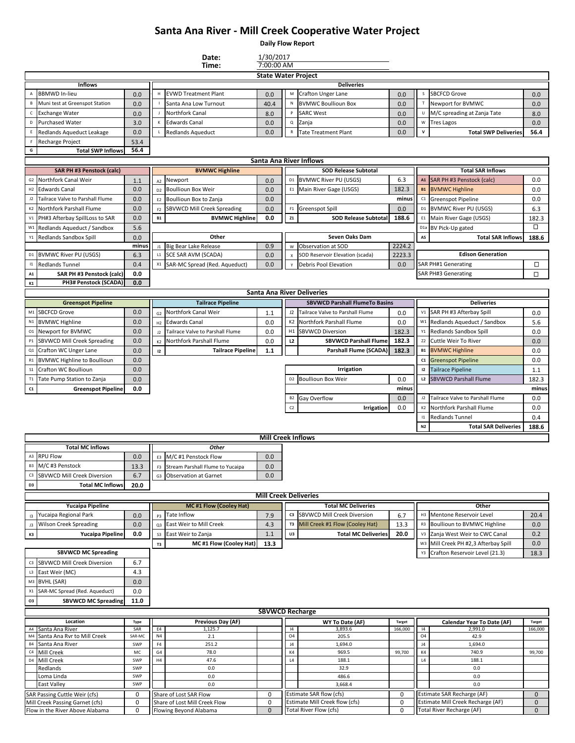## **Santa Ana River - Mill Creek Cooperative Water Project**

**Daily Flow Report**

|                 |                                                                    |               |                      | Date:                                                   | 1/30/2017                    |                           |                                                          |               |                  |                                                                |                             |
|-----------------|--------------------------------------------------------------------|---------------|----------------------|---------------------------------------------------------|------------------------------|---------------------------|----------------------------------------------------------|---------------|------------------|----------------------------------------------------------------|-----------------------------|
|                 |                                                                    |               |                      | Time:                                                   | 7:00:00 AM                   |                           |                                                          |               |                  |                                                                |                             |
|                 |                                                                    |               |                      |                                                         | <b>State Water Project</b>   |                           | <b>Deliveries</b>                                        |               |                  |                                                                |                             |
|                 | <b>Inflows</b><br><b>BBMWD In-lieu</b>                             | 0.0           | H                    | <b>EVWD Treatment Plant</b>                             | 0.0                          | М                         | Crafton Unger Lane                                       | 0.0           | $\sf S$          | <b>SBCFCD Grove</b>                                            | 0.0                         |
| B               | Muni test at Greenspot Station                                     | 0.0           |                      | Santa Ana Low Turnout                                   | 40.4                         | N                         | <b>BVMWC Boullioun Box</b>                               | 0.0           |                  | Newport for BVMWC                                              | 0.0                         |
| c               | <b>Exchange Water</b>                                              |               |                      | Northfork Canal                                         |                              | P                         | <b>SARC West</b>                                         | 0.0           |                  | M/C spreading at Zanja Tate                                    |                             |
| D               | <b>Purchased Water</b>                                             | 0.0<br>3.0    | К                    | <b>Edwards Canal</b>                                    | 8.0<br>0.0                   | $\sf Q$                   | Zanja                                                    | 0.0           | ${\sf W}$        | <b>Tres Lagos</b>                                              | 8.0<br>0.0                  |
|                 |                                                                    |               |                      |                                                         |                              | ${\sf R}$                 |                                                          |               | v                |                                                                |                             |
| Ε               | Redlands Aqueduct Leakage                                          | 0.0           |                      | <b>Redlands Aqueduct</b>                                | 0.0                          |                           | <b>Tate Treatment Plant</b>                              | 0.0           |                  | <b>Total SWP Deliveries</b>                                    | 56.4                        |
| G               | Recharge Project<br><b>Total SWP Inflows</b>                       | 53.4<br>56.4  |                      |                                                         |                              |                           |                                                          |               |                  |                                                                |                             |
|                 |                                                                    |               |                      |                                                         | Santa Ana River Inflows      |                           |                                                          |               |                  |                                                                |                             |
|                 | <b>SAR PH #3 Penstock (calc)</b>                                   |               |                      | <b>BVMWC Highline</b>                                   |                              |                           | <b>SOD Release Subtotal</b>                              |               |                  | <b>Total SAR Inflows</b>                                       |                             |
| G2              | Northfork Canal Weir                                               | 1.1           |                      | Newport                                                 | 0.0                          |                           | D1 BVMWC River PU (USGS)                                 | 6.3           |                  | A1 SAR PH #3 Penstock (calc)                                   | 0.0                         |
| H2              | <b>Edwards Canal</b>                                               | 0.0           | A2                   | <b>Boullioun Box Weir</b>                               | 0.0                          | E1                        | Main River Gage (USGS)                                   | 182.3         | <b>B1</b>        | <b>BVMWC Highline</b>                                          | 0.0                         |
|                 | Tailrace Valve to Parshall Flume                                   |               | D <sub>2</sub>       |                                                         |                              |                           |                                                          | minus         |                  |                                                                |                             |
| J2              |                                                                    | 0.0           | E <sub>2</sub>       | Boullioun Box to Zanja                                  | 0.0                          |                           |                                                          |               | C1               | <b>Greenspot Pipeline</b>                                      | 0.0                         |
| K <sub>2</sub>  | Northfork Parshall Flume                                           | 0.0           | F <sub>2</sub>       | SBVWCD Mill Creek Spreading                             | 0.0                          |                           | F1 Greenspot Spill                                       | 0.0           | D <sub>1</sub>   | <b>BVMWC River PU (USGS)</b>                                   | 6.3                         |
| V1              | PH#3 Afterbay SpillLoss to SAR                                     | 0.0           | <b>B1</b>            | <b>BVMWC Highline</b>                                   | 0.0                          | Z1                        | <b>SOD Release Subtotal</b>                              | 188.6         | E1               | Main River Gage (USGS)                                         | 182.3                       |
|                 | W1 Redlands Aqueduct / Sandbox                                     | 5.6           |                      |                                                         |                              |                           |                                                          |               | D <sub>1</sub> a | BV Pick-Up gated                                               | □                           |
| Υ1              | Redlands Sandbox Spill                                             | 0.0           |                      | Other                                                   |                              |                           | Seven Oaks Dam                                           |               | A5               | <b>Total SAR Inflows</b>                                       | 188.6                       |
|                 |                                                                    | minus         |                      | J1 Big Bear Lake Release                                | 0.9                          | W                         | Observation at SOD                                       | 2224.2        |                  |                                                                |                             |
|                 | D1 BVMWC River PU (USGS)                                           | 6.3           | L1                   | SCE SAR AVM (SCADA)                                     | 0.0                          | $\boldsymbol{\mathsf{x}}$ | SOD Reservoir Elevation (scada)                          | 2223.3        |                  | <b>Edison Generation</b>                                       |                             |
| $\mathbf{11}$   | <b>Redlands Tunnel</b>                                             | 0.4           | X1                   | SAR-MC Spread (Red. Aqueduct)                           | 0.0                          |                           | Debris Pool Elevation                                    | 0.0           |                  | <b>SAR PH#1 Generating</b>                                     | □                           |
| A1              | SAR PH #3 Penstock (calc)                                          | 0.0           |                      |                                                         |                              |                           |                                                          |               |                  | SAR PH#3 Generating                                            | □                           |
| K1              | PH3# Penstock (SCADA)                                              | 0.0           |                      |                                                         |                              |                           |                                                          |               |                  |                                                                |                             |
|                 |                                                                    |               |                      |                                                         |                              |                           | Santa Ana River Deliveries                               |               |                  |                                                                |                             |
|                 | <b>Greenspot Pipeline</b>                                          |               |                      | <b>Tailrace Pipeline</b>                                |                              |                           | <b>SBVWCD Parshall FlumeTo Basins</b>                    |               |                  | <b>Deliveries</b>                                              |                             |
|                 | M1 SBCFCD Grove                                                    | 0.0           | G <sub>2</sub>       | Northfork Canal Weir                                    | 1.1                          |                           | J2 Tailrace Valve to Parshall Flume                      | 0.0           | V1               | SAR PH #3 Afterbay Spill                                       | 0.0                         |
|                 | N1 BVMWC Highline                                                  | 0.0           | H2                   | <b>Edwards Canal</b>                                    | 0.0                          | K2                        | Northfork Parshall Flume                                 | 0.0           | W1               | Redlands Aqueduct / Sandbox                                    | 5.6                         |
| 01              | Newport for BVMWC                                                  | 0.0           | 12                   | Tailrace Valve to Parshall Flume                        | 0.0                          | H1                        | <b>SBVWCD Diversion</b>                                  | 182.3         | $\sqrt{1}$       | Redlands Sandbox Spill                                         | 0.0                         |
| P1              | SBVWCD Mill Creek Spreading                                        | 0.0           | K2                   | Northfork Parshall Flume                                | 0.0                          | L <sub>2</sub>            | <b>SBVWCD Parshall Flume</b>                             | 182.3         | Z <sub>2</sub>   | Cuttle Weir To River                                           | 0.0                         |
|                 | Q1 Crafton WC Unger Lane                                           | 0.0           | 12                   | <b>Tailrace Pipeline</b>                                | 1.1                          |                           | Parshall Flume (SCADA)                                   | 182.3         | <b>B1</b>        | <b>BVMWC Highline</b>                                          | 0.0                         |
| R1              | <b>BVMWC Highline to Boullioun</b>                                 | 0.0           |                      |                                                         |                              |                           |                                                          |               | C1               | <b>Greenspot Pipeline</b>                                      | 0.0                         |
| S <sub>1</sub>  | Crafton WC Boullioun                                               | 0.0           |                      |                                                         |                              |                           | Irrigation                                               |               | 12               | <b>Tailrace Pipeline</b>                                       | 1.1                         |
| T <sub>1</sub>  | Tate Pump Station to Zanja                                         | 0.0           |                      |                                                         |                              |                           | D2 Boullioun Box Weir                                    | 0.0           | L2               | <b>SBVWCD Parshall Flume</b>                                   | 182.3                       |
|                 |                                                                    |               |                      |                                                         |                              |                           |                                                          |               |                  |                                                                |                             |
|                 |                                                                    |               |                      |                                                         |                              |                           |                                                          |               |                  |                                                                |                             |
| ${\bf C1}$      | <b>Greenspot Pipeline</b>                                          | 0.0           |                      |                                                         |                              |                           |                                                          | minus         |                  |                                                                | minus                       |
|                 |                                                                    |               |                      |                                                         |                              |                           | B <sub>2</sub> Gay Overflow                              | 0.0           | $_{\rm J2}$      | Tailrace Valve to Parshall Flume                               | 0.0                         |
|                 |                                                                    |               |                      |                                                         |                              | C <sub>2</sub>            | <b>Irrigation</b>                                        | 0.0           | K <sub>2</sub>   | Northfork Parshall Flume                                       | 0.0                         |
|                 |                                                                    |               |                      |                                                         |                              |                           |                                                          |               | 1                | <b>Redlands Tunnel</b>                                         | 0.4                         |
|                 |                                                                    |               |                      |                                                         |                              |                           |                                                          |               | N2               | <b>Total SAR Deliveries</b>                                    | 188.6                       |
|                 |                                                                    |               |                      |                                                         | <b>Mill Creek Inflows</b>    |                           |                                                          |               |                  |                                                                |                             |
|                 | <b>Total MC Inflows</b>                                            |               |                      | <b>Other</b>                                            |                              |                           |                                                          |               |                  |                                                                |                             |
| A3              | <b>RPU Flow</b>                                                    | 0.0           | E <sub>3</sub>       | M/C #1 Penstock Flow                                    | 0.0                          |                           |                                                          |               |                  |                                                                |                             |
| <b>B3</b>       | M/C #3 Penstock                                                    | 13.3          | F3                   | Stream Parshall Flume to Yucaipa                        | 0.0                          |                           |                                                          |               |                  |                                                                |                             |
| C3              | SBVWCD Mill Creek Diversion                                        | 6.7           |                      | G3 Observation at Garnet                                | $0.0\,$                      |                           |                                                          |               |                  |                                                                |                             |
| D <sub>3</sub>  | <b>Total MC Inflows</b>                                            | 20.0          |                      |                                                         |                              |                           |                                                          |               |                  |                                                                |                             |
|                 |                                                                    |               |                      |                                                         | <b>Mill Creek Deliveries</b> |                           |                                                          |               |                  |                                                                |                             |
|                 | <b>Yucaipa Pipeline</b>                                            |               |                      | <b>MC#1 Flow (Cooley Hat)</b>                           |                              |                           | <b>Total MC Deliveries</b>                               |               |                  | Other                                                          |                             |
| 13              | Yucaipa Regional Park                                              | 0.0           | <b>P3</b>            | Tate Inflow                                             | 7.9                          |                           | c3 SBVWCD Mill Creek Diversion                           | 6.7           | H3               | Mentone Reservoir Level                                        | 20.4                        |
| J3              | <b>Wilson Creek Spreading</b>                                      | 0.0           | Q3                   | East Weir to Mill Creek                                 | 4.3                          | T3                        | Mill Creek #1 Flow (Cooley Hat)                          | 13.3          |                  | Boullioun to BVMWC Highline                                    | 0.0                         |
| K3              | <b>Yucaipa Pipeline</b>                                            | 0.0           | S <sub>3</sub>       | East Weir to Zanja                                      | 1.1                          | U3                        | <b>Total MC Deliveries</b>                               | 20.0          | V3               | Zania West Weir to CWC Canal                                   | 0.2                         |
|                 |                                                                    |               | T3                   | MC #1 Flow (Cooley Hat)                                 | 13.3                         |                           |                                                          |               | W3               | Mill Creek PH #2,3 Afterbay Spill                              | 0.0                         |
|                 | <b>SBVWCD MC Spreading</b>                                         |               |                      |                                                         |                              |                           |                                                          |               | Y <sub>3</sub>   | Crafton Reservoir Level (21.3)                                 | 18.3                        |
|                 | C3 SBVWCD Mill Creek Diversion                                     | 6.7           |                      |                                                         |                              |                           |                                                          |               |                  |                                                                |                             |
|                 |                                                                    |               |                      |                                                         |                              |                           |                                                          |               |                  |                                                                |                             |
|                 | L3 East Weir (MC)                                                  | 4.3           |                      |                                                         |                              |                           |                                                          |               |                  |                                                                |                             |
|                 | M3 BVHL (SAR)                                                      | 0.0           |                      |                                                         |                              |                           |                                                          |               |                  |                                                                |                             |
| X1              | SAR-MC Spread (Red. Aqueduct)                                      | 0.0           |                      |                                                         |                              |                           |                                                          |               |                  |                                                                |                             |
| O3              | <b>SBVWCD MC Spreading</b>                                         | 11.0          |                      |                                                         |                              |                           |                                                          |               |                  |                                                                |                             |
|                 |                                                                    |               |                      |                                                         | <b>SBVWCD Recharge</b>       |                           |                                                          |               |                  |                                                                |                             |
|                 | Location                                                           | Type          |                      | Previous Day (AF)                                       |                              |                           | WY To Date (AF)                                          | <b>Target</b> |                  | <b>Calendar Year To Date (AF)</b>                              | <b>Target</b>               |
|                 | A4 Santa Ana River                                                 | SAR           | E4                   | 1,125.7                                                 |                              | $\vert 4$                 | 3,893.6                                                  | 166,000       | 4                | 2,991.0                                                        | 166,000                     |
| M4<br><b>B4</b> | Santa Ana Rvr to Mill Creek                                        | SAR-MC<br>SWP | N <sub>4</sub><br>F4 | 2.1                                                     |                              | 04<br>J <sub>4</sub>      | 205.5                                                    |               | 04<br>J4         | 42.9                                                           |                             |
|                 | Santa Ana River<br>C4 Mill Creek                                   | MC            | G4                   | 251.2<br>78.0                                           |                              | K4                        | 1,694.0<br>969.5                                         | 99,700        | K4               | 1,694.0<br>740.9                                               | 99,700                      |
| D <sub>4</sub>  | Mill Creek                                                         | SWP           | H4                   | 47.6                                                    |                              | L4                        | 188.1                                                    |               | L4               | 188.1                                                          |                             |
|                 | Redlands                                                           | SWP           |                      | 0.0                                                     |                              |                           | 32.9                                                     |               |                  | 0.0                                                            |                             |
|                 | Loma Linda                                                         | SWP           |                      | 0.0                                                     |                              |                           | 486.6                                                    |               |                  | 0.0                                                            |                             |
|                 | East Valley                                                        | SWP           |                      | 0.0                                                     |                              |                           | 3,668.4                                                  |               |                  | 0.0                                                            |                             |
|                 | SAR Passing Cuttle Weir (cfs)                                      | 0             |                      | Share of Lost SAR Flow                                  | 0                            |                           | Estimate SAR flow (cfs)                                  | 0             |                  | Estimate SAR Recharge (AF)                                     | $\mathbf 0$                 |
|                 | Mill Creek Passing Garnet (cfs)<br>Flow in the River Above Alabama | 0<br>0        |                      | Share of Lost Mill Creek Flow<br>Flowing Beyond Alabama | 0<br>$\mathbf{0}$            |                           | Estimate Mill Creek flow (cfs)<br>Total River Flow (cfs) | 0<br>0        |                  | Estimate Mill Creek Recharge (AF)<br>Total River Recharge (AF) | $\mathbf 0$<br>$\mathbf{0}$ |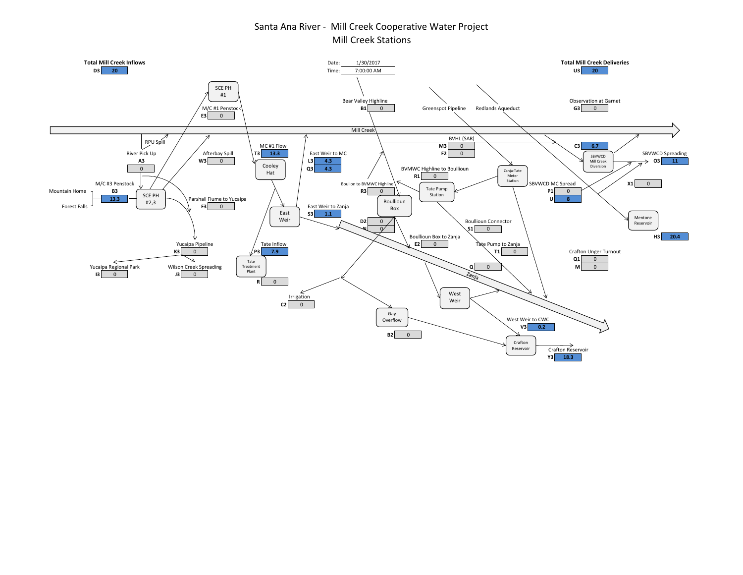## Santa Ana River - Mill Creek Cooperative Water Project Mill Creek Stations